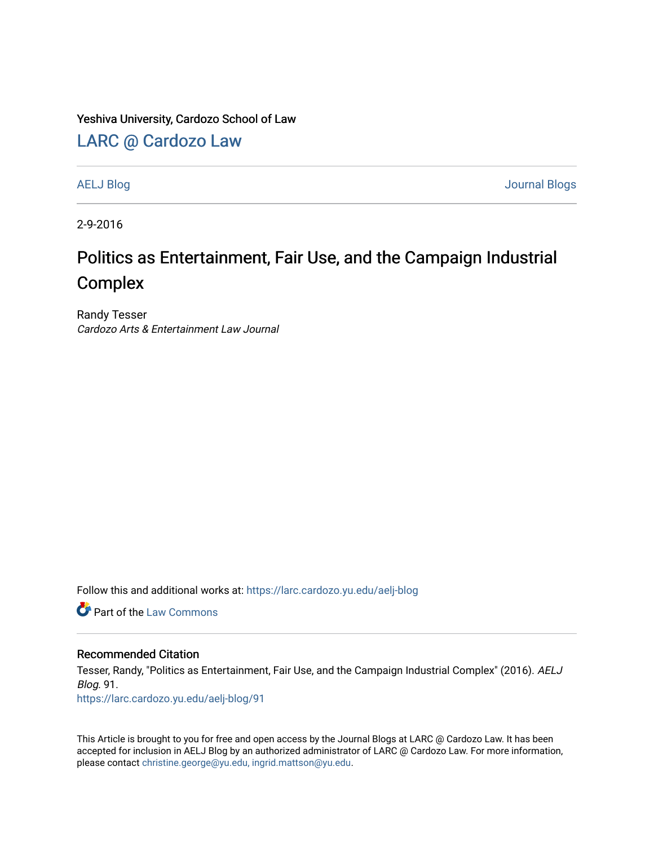#### Yeshiva University, Cardozo School of Law

## [LARC @ Cardozo Law](https://larc.cardozo.yu.edu/)

[AELJ Blog](https://larc.cardozo.yu.edu/aelj-blog) [Journal Blogs](https://larc.cardozo.yu.edu/journal-blogs) 

2-9-2016

# Politics as Entertainment, Fair Use, and the Campaign Industrial Complex

Randy Tesser Cardozo Arts & Entertainment Law Journal

Follow this and additional works at: [https://larc.cardozo.yu.edu/aelj-blog](https://larc.cardozo.yu.edu/aelj-blog?utm_source=larc.cardozo.yu.edu%2Faelj-blog%2F91&utm_medium=PDF&utm_campaign=PDFCoverPages) 

**C** Part of the [Law Commons](http://network.bepress.com/hgg/discipline/578?utm_source=larc.cardozo.yu.edu%2Faelj-blog%2F91&utm_medium=PDF&utm_campaign=PDFCoverPages)

#### Recommended Citation

Tesser, Randy, "Politics as Entertainment, Fair Use, and the Campaign Industrial Complex" (2016). AELJ Blog. 91.

[https://larc.cardozo.yu.edu/aelj-blog/91](https://larc.cardozo.yu.edu/aelj-blog/91?utm_source=larc.cardozo.yu.edu%2Faelj-blog%2F91&utm_medium=PDF&utm_campaign=PDFCoverPages)

This Article is brought to you for free and open access by the Journal Blogs at LARC @ Cardozo Law. It has been accepted for inclusion in AELJ Blog by an authorized administrator of LARC @ Cardozo Law. For more information, please contact [christine.george@yu.edu, ingrid.mattson@yu.edu.](mailto:christine.george@yu.edu,%20ingrid.mattson@yu.edu)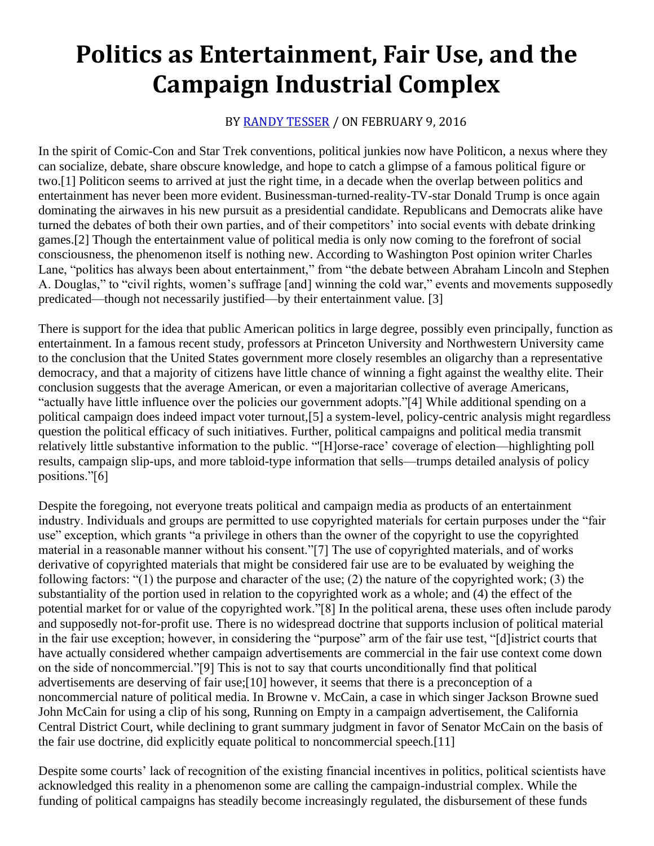# **Politics as Entertainment, Fair Use, and the Campaign Industrial Complex**

### BY [RANDY TESSER](https://cardozoaelj.com/author/randy-tesser/) / ON FEBRUARY 9, 2016

In the spirit of Comic-Con and Star Trek conventions, political junkies now have Politicon, a nexus where they can socialize, debate, share obscure knowledge, and hope to catch a glimpse of a famous political figure or two.[1] Politicon seems to arrived at just the right time, in a decade when the overlap between politics and entertainment has never been more evident. Businessman-turned-reality-TV-star Donald Trump is once again dominating the airwaves in his new pursuit as a presidential candidate. Republicans and Democrats alike have turned the debates of both their own parties, and of their competitors' into social events with debate drinking games.[2] Though the entertainment value of political media is only now coming to the forefront of social consciousness, the phenomenon itself is nothing new. According to Washington Post opinion writer Charles Lane, "politics has always been about entertainment," from "the debate between Abraham Lincoln and Stephen A. Douglas," to "civil rights, women's suffrage [and] winning the cold war," events and movements supposedly predicated—though not necessarily justified—by their entertainment value. [3]

There is support for the idea that public American politics in large degree, possibly even principally, function as entertainment. In a famous recent study, professors at Princeton University and Northwestern University came to the conclusion that the United States government more closely resembles an oligarchy than a representative democracy, and that a majority of citizens have little chance of winning a fight against the wealthy elite. Their conclusion suggests that the average American, or even a majoritarian collective of average Americans, "actually have little influence over the policies our government adopts."[4] While additional spending on a political campaign does indeed impact voter turnout,[5] a system-level, policy-centric analysis might regardless question the political efficacy of such initiatives. Further, political campaigns and political media transmit relatively little substantive information to the public. "'[H]orse-race' coverage of election—highlighting poll results, campaign slip-ups, and more tabloid-type information that sells—trumps detailed analysis of policy positions."[6]

Despite the foregoing, not everyone treats political and campaign media as products of an entertainment industry. Individuals and groups are permitted to use copyrighted materials for certain purposes under the "fair use" exception, which grants "a privilege in others than the owner of the copyright to use the copyrighted material in a reasonable manner without his consent."[7] The use of copyrighted materials, and of works derivative of copyrighted materials that might be considered fair use are to be evaluated by weighing the following factors: "(1) the purpose and character of the use; (2) the nature of the copyrighted work; (3) the substantiality of the portion used in relation to the copyrighted work as a whole; and (4) the effect of the potential market for or value of the copyrighted work."[8] In the political arena, these uses often include parody and supposedly not-for-profit use. There is no widespread doctrine that supports inclusion of political material in the fair use exception; however, in considering the "purpose" arm of the fair use test, "[d]istrict courts that have actually considered whether campaign advertisements are commercial in the fair use context come down on the side of noncommercial."[9] This is not to say that courts unconditionally find that political advertisements are deserving of fair use;[10] however, it seems that there is a preconception of a noncommercial nature of political media. In Browne v. McCain, a case in which singer Jackson Browne sued John McCain for using a clip of his song, Running on Empty in a campaign advertisement, the California Central District Court, while declining to grant summary judgment in favor of Senator McCain on the basis of the fair use doctrine, did explicitly equate political to noncommercial speech.[11]

Despite some courts' lack of recognition of the existing financial incentives in politics, political scientists have acknowledged this reality in a phenomenon some are calling the campaign-industrial complex. While the funding of political campaigns has steadily become increasingly regulated, the disbursement of these funds